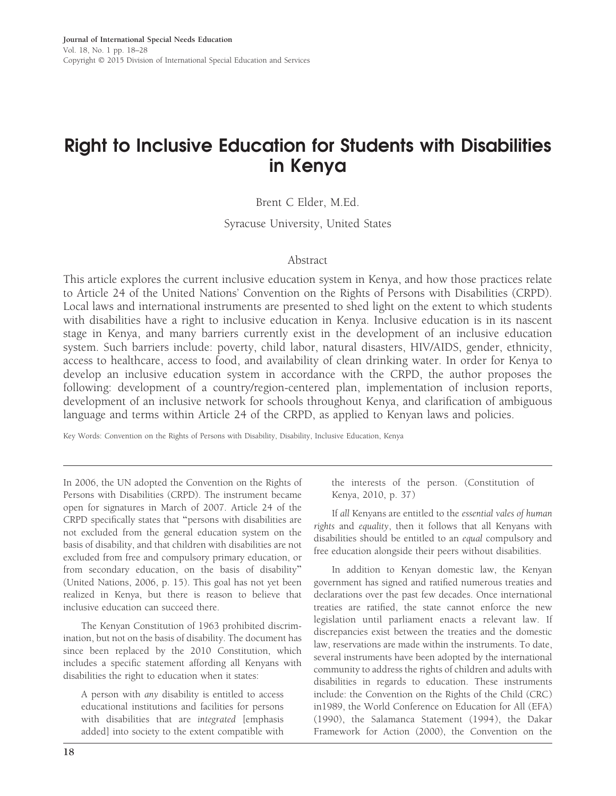# Right to Inclusive Education for Students with Disabilities in Kenya

Brent C Elder, M.Ed.

Syracuse University, United States

## Abstract

This article explores the current inclusive education system in Kenya, and how those practices relate to Article 24 of the United Nations' Convention on the Rights of Persons with Disabilities (CRPD). Local laws and international instruments are presented to shed light on the extent to which students with disabilities have a right to inclusive education in Kenya. Inclusive education is in its nascent stage in Kenya, and many barriers currently exist in the development of an inclusive education system. Such barriers include: poverty, child labor, natural disasters, HIV/AIDS, gender, ethnicity, access to healthcare, access to food, and availability of clean drinking water. In order for Kenya to develop an inclusive education system in accordance with the CRPD, the author proposes the following: development of a country/region-centered plan, implementation of inclusion reports, development of an inclusive network for schools throughout Kenya, and clarification of ambiguous language and terms within Article 24 of the CRPD, as applied to Kenyan laws and policies.

Key Words: Convention on the Rights of Persons with Disability, Disability, Inclusive Education, Kenya

In 2006, the UN adopted the Convention on the Rights of Persons with Disabilities (CRPD). The instrument became open for signatures in March of 2007. Article 24 of the CRPD specifically states that ''persons with disabilities are not excluded from the general education system on the basis of disability, and that children with disabilities are not excluded from free and compulsory primary education, or from secondary education, on the basis of disability'' (United Nations, 2006, p. 15). This goal has not yet been realized in Kenya, but there is reason to believe that inclusive education can succeed there.

The Kenyan Constitution of 1963 prohibited discrimination, but not on the basis of disability. The document has since been replaced by the 2010 Constitution, which includes a specific statement affording all Kenyans with disabilities the right to education when it states:

A person with any disability is entitled to access educational institutions and facilities for persons with disabilities that are integrated [emphasis added] into society to the extent compatible with the interests of the person. (Constitution of Kenya, 2010, p. 37)

If all Kenyans are entitled to the essential vales of human rights and equality, then it follows that all Kenyans with disabilities should be entitled to an equal compulsory and free education alongside their peers without disabilities.

In addition to Kenyan domestic law, the Kenyan government has signed and ratified numerous treaties and declarations over the past few decades. Once international treaties are ratified, the state cannot enforce the new legislation until parliament enacts a relevant law. If discrepancies exist between the treaties and the domestic law, reservations are made within the instruments. To date, several instruments have been adopted by the international community to address the rights of children and adults with disabilities in regards to education. These instruments include: the Convention on the Rights of the Child (CRC) in1989, the World Conference on Education for All (EFA) (1990), the Salamanca Statement (1994), the Dakar Framework for Action (2000), the Convention on the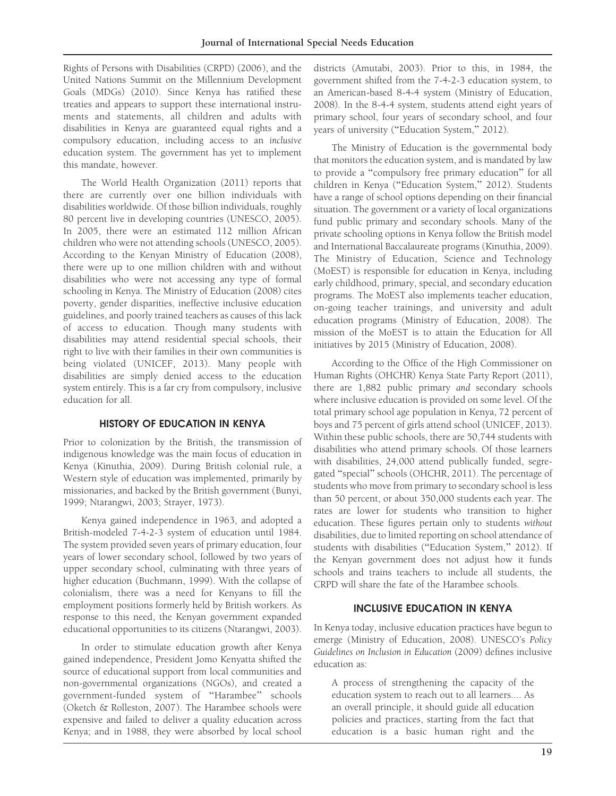Rights of Persons with Disabilities (CRPD) (2006), and the United Nations Summit on the Millennium Development Goals (MDGs) (2010). Since Kenya has ratified these treaties and appears to support these international instruments and statements, all children and adults with disabilities in Kenya are guaranteed equal rights and a compulsory education, including access to an inclusive education system. The government has yet to implement this mandate, however.

The World Health Organization (2011) reports that there are currently over one billion individuals with disabilities worldwide. Of those billion individuals, roughly 80 percent live in developing countries (UNESCO, 2005). In 2005, there were an estimated 112 million African children who were not attending schools (UNESCO, 2005). According to the Kenyan Ministry of Education (2008), there were up to one million children with and without disabilities who were not accessing any type of formal schooling in Kenya. The Ministry of Education (2008) cites poverty, gender disparities, ineffective inclusive education guidelines, and poorly trained teachers as causes of this lack of access to education. Though many students with disabilities may attend residential special schools, their right to live with their families in their own communities is being violated (UNICEF, 2013). Many people with disabilities are simply denied access to the education system entirely. This is a far cry from compulsory, inclusive education for all.

#### HISTORY OF EDUCATION IN KENYA

Prior to colonization by the British, the transmission of indigenous knowledge was the main focus of education in Kenya (Kinuthia, 2009). During British colonial rule, a Western style of education was implemented, primarily by missionaries, and backed by the British government (Bunyi, 1999; Ntarangwi, 2003; Strayer, 1973).

Kenya gained independence in 1963, and adopted a British-modeled 7-4-2-3 system of education until 1984. The system provided seven years of primary education, four years of lower secondary school, followed by two years of upper secondary school, culminating with three years of higher education (Buchmann, 1999). With the collapse of colonialism, there was a need for Kenyans to fill the employment positions formerly held by British workers. As response to this need, the Kenyan government expanded educational opportunities to its citizens (Ntarangwi, 2003).

In order to stimulate education growth after Kenya gained independence, President Jomo Kenyatta shifted the source of educational support from local communities and non-governmental organizations (NGOs), and created a government-funded system of ''Harambee'' schools (Oketch & Rolleston, 2007). The Harambee schools were expensive and failed to deliver a quality education across Kenya; and in 1988, they were absorbed by local school districts (Amutabi, 2003). Prior to this, in 1984, the government shifted from the 7-4-2-3 education system, to an American-based 8-4-4 system (Ministry of Education, 2008). In the 8-4-4 system, students attend eight years of primary school, four years of secondary school, and four years of university ("Education System," 2012).

The Ministry of Education is the governmental body that monitors the education system, and is mandated by law to provide a ''compulsory free primary education'' for all children in Kenya (''Education System,'' 2012). Students have a range of school options depending on their financial situation. The government or a variety of local organizations fund public primary and secondary schools. Many of the private schooling options in Kenya follow the British model and International Baccalaureate programs (Kinuthia, 2009). The Ministry of Education, Science and Technology (MoEST) is responsible for education in Kenya, including early childhood, primary, special, and secondary education programs. The MoEST also implements teacher education, on-going teacher trainings, and university and adult education programs (Ministry of Education, 2008). The mission of the MoEST is to attain the Education for All initiatives by 2015 (Ministry of Education, 2008).

According to the Office of the High Commissioner on Human Rights (OHCHR) Kenya State Party Report (2011), there are 1,882 public primary and secondary schools where inclusive education is provided on some level. Of the total primary school age population in Kenya, 72 percent of boys and 75 percent of girls attend school (UNICEF, 2013). Within these public schools, there are 50,744 students with disabilities who attend primary schools. Of those learners with disabilities, 24,000 attend publically funded, segregated ''special'' schools (OHCHR, 2011). The percentage of students who move from primary to secondary school is less than 50 percent, or about 350,000 students each year. The rates are lower for students who transition to higher education. These figures pertain only to students without disabilities, due to limited reporting on school attendance of students with disabilities ("Education System," 2012). If the Kenyan government does not adjust how it funds schools and trains teachers to include all students, the CRPD will share the fate of the Harambee schools.

# INCLUSIVE EDUCATION IN KENYA

In Kenya today, inclusive education practices have begun to emerge (Ministry of Education, 2008). UNESCO's Policy Guidelines on Inclusion in Education (2009) defines inclusive education as:

A process of strengthening the capacity of the education system to reach out to all learners.... As an overall principle, it should guide all education policies and practices, starting from the fact that education is a basic human right and the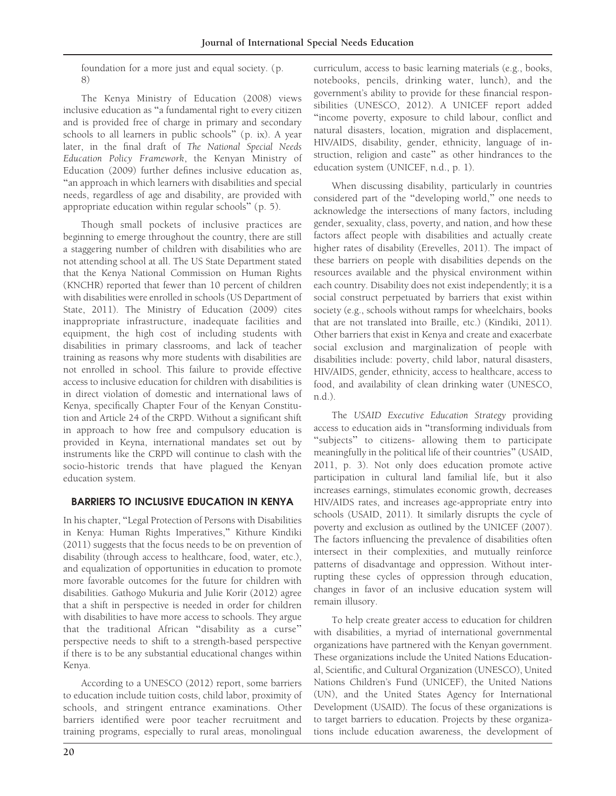foundation for a more just and equal society. (p. 8)

The Kenya Ministry of Education (2008) views inclusive education as ''a fundamental right to every citizen and is provided free of charge in primary and secondary schools to all learners in public schools'' (p. ix). A year later, in the final draft of The National Special Needs Education Policy Framework, the Kenyan Ministry of Education (2009) further defines inclusive education as, ''an approach in which learners with disabilities and special needs, regardless of age and disability, are provided with appropriate education within regular schools'' (p. 5).

Though small pockets of inclusive practices are beginning to emerge throughout the country, there are still a staggering number of children with disabilities who are not attending school at all. The US State Department stated that the Kenya National Commission on Human Rights (KNCHR) reported that fewer than 10 percent of children with disabilities were enrolled in schools (US Department of State, 2011). The Ministry of Education (2009) cites inappropriate infrastructure, inadequate facilities and equipment, the high cost of including students with disabilities in primary classrooms, and lack of teacher training as reasons why more students with disabilities are not enrolled in school. This failure to provide effective access to inclusive education for children with disabilities is in direct violation of domestic and international laws of Kenya, specifically Chapter Four of the Kenyan Constitution and Article 24 of the CRPD. Without a significant shift in approach to how free and compulsory education is provided in Keyna, international mandates set out by instruments like the CRPD will continue to clash with the socio-historic trends that have plagued the Kenyan education system.

# BARRIERS TO INCLUSIVE EDUCATION IN KENYA

In his chapter, ''Legal Protection of Persons with Disabilities in Kenya: Human Rights Imperatives,'' Kithure Kindiki (2011) suggests that the focus needs to be on prevention of disability (through access to healthcare, food, water, etc.), and equalization of opportunities in education to promote more favorable outcomes for the future for children with disabilities. Gathogo Mukuria and Julie Korir (2012) agree that a shift in perspective is needed in order for children with disabilities to have more access to schools. They argue that the traditional African ''disability as a curse'' perspective needs to shift to a strength-based perspective if there is to be any substantial educational changes within Kenya.

According to a UNESCO (2012) report, some barriers to education include tuition costs, child labor, proximity of schools, and stringent entrance examinations. Other barriers identified were poor teacher recruitment and training programs, especially to rural areas, monolingual

curriculum, access to basic learning materials (e.g., books, notebooks, pencils, drinking water, lunch), and the government's ability to provide for these financial responsibilities (UNESCO, 2012). A UNICEF report added ''income poverty, exposure to child labour, conflict and natural disasters, location, migration and displacement, HIV/AIDS, disability, gender, ethnicity, language of instruction, religion and caste'' as other hindrances to the education system (UNICEF, n.d., p. 1).

When discussing disability, particularly in countries considered part of the ''developing world,'' one needs to acknowledge the intersections of many factors, including gender, sexuality, class, poverty, and nation, and how these factors affect people with disabilities and actually create higher rates of disability (Erevelles, 2011). The impact of these barriers on people with disabilities depends on the resources available and the physical environment within each country. Disability does not exist independently; it is a social construct perpetuated by barriers that exist within society (e.g., schools without ramps for wheelchairs, books that are not translated into Braille, etc.) (Kindiki, 2011). Other barriers that exist in Kenya and create and exacerbate social exclusion and marginalization of people with disabilities include: poverty, child labor, natural disasters, HIV/AIDS, gender, ethnicity, access to healthcare, access to food, and availability of clean drinking water (UNESCO, n.d.).

The USAID Executive Education Strategy providing access to education aids in ''transforming individuals from "subjects" to citizens- allowing them to participate meaningfully in the political life of their countries'' (USAID, 2011, p. 3). Not only does education promote active participation in cultural land familial life, but it also increases earnings, stimulates economic growth, decreases HIV/AIDS rates, and increases age-appropriate entry into schools (USAID, 2011). It similarly disrupts the cycle of poverty and exclusion as outlined by the UNICEF (2007). The factors influencing the prevalence of disabilities often intersect in their complexities, and mutually reinforce patterns of disadvantage and oppression. Without interrupting these cycles of oppression through education, changes in favor of an inclusive education system will remain illusory.

To help create greater access to education for children with disabilities, a myriad of international governmental organizations have partnered with the Kenyan government. These organizations include the United Nations Educational, Scientific, and Cultural Organization (UNESCO), United Nations Children's Fund (UNICEF), the United Nations (UN), and the United States Agency for International Development (USAID). The focus of these organizations is to target barriers to education. Projects by these organizations include education awareness, the development of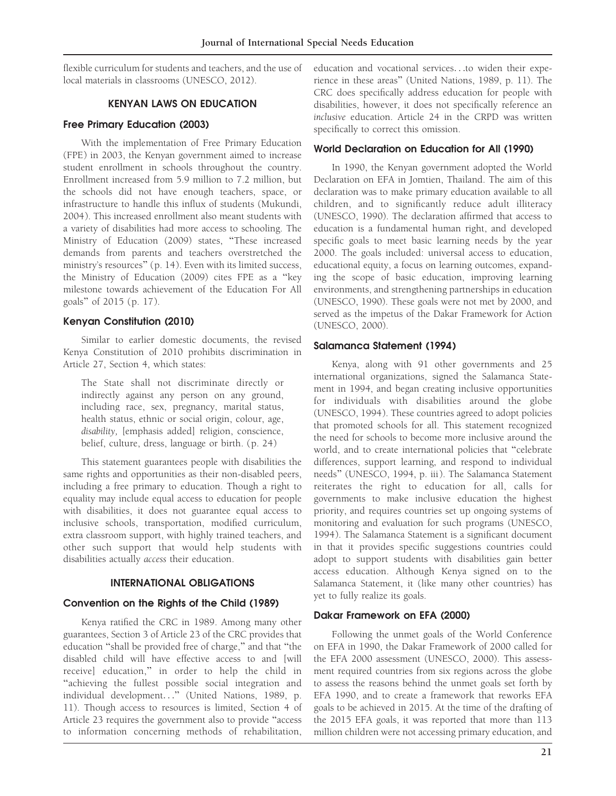flexible curriculum for students and teachers, and the use of local materials in classrooms (UNESCO, 2012).

# KENYAN LAWS ON EDUCATION

## Free Primary Education (2003)

With the implementation of Free Primary Education (FPE) in 2003, the Kenyan government aimed to increase student enrollment in schools throughout the country. Enrollment increased from 5.9 million to 7.2 million, but the schools did not have enough teachers, space, or infrastructure to handle this influx of students (Mukundi, 2004). This increased enrollment also meant students with a variety of disabilities had more access to schooling. The Ministry of Education (2009) states, ''These increased demands from parents and teachers overstretched the ministry's resources'' (p. 14). Even with its limited success, the Ministry of Education (2009) cites FPE as a ''key milestone towards achievement of the Education For All goals'' of 2015 (p. 17).

#### Kenyan Constitution (2010)

Similar to earlier domestic documents, the revised Kenya Constitution of 2010 prohibits discrimination in Article 27, Section 4, which states:

The State shall not discriminate directly or indirectly against any person on any ground, including race, sex, pregnancy, marital status, health status, ethnic or social origin, colour, age, disability, [emphasis added] religion, conscience, belief, culture, dress, language or birth. (p. 24)

This statement guarantees people with disabilities the same rights and opportunities as their non-disabled peers, including a free primary to education. Though a right to equality may include equal access to education for people with disabilities, it does not guarantee equal access to inclusive schools, transportation, modified curriculum, extra classroom support, with highly trained teachers, and other such support that would help students with disabilities actually access their education.

## INTERNATIONAL OBLIGATIONS

## Convention on the Rights of the Child (1989)

Kenya ratified the CRC in 1989. Among many other guarantees, Section 3 of Article 23 of the CRC provides that education ''shall be provided free of charge,'' and that ''the disabled child will have effective access to and [will receive] education,'' in order to help the child in "achieving the fullest possible social integration and individual development...'' (United Nations, 1989, p. 11). Though access to resources is limited, Section 4 of Article 23 requires the government also to provide ''access to information concerning methods of rehabilitation,

education and vocational services...to widen their experience in these areas'' (United Nations, 1989, p. 11). The CRC does specifically address education for people with disabilities, however, it does not specifically reference an inclusive education. Article 24 in the CRPD was written specifically to correct this omission.

#### World Declaration on Education for All (1990)

In 1990, the Kenyan government adopted the World Declaration on EFA in Jomtien, Thailand. The aim of this declaration was to make primary education available to all children, and to significantly reduce adult illiteracy (UNESCO, 1990). The declaration affirmed that access to education is a fundamental human right, and developed specific goals to meet basic learning needs by the year 2000. The goals included: universal access to education, educational equity, a focus on learning outcomes, expanding the scope of basic education, improving learning environments, and strengthening partnerships in education (UNESCO, 1990). These goals were not met by 2000, and served as the impetus of the Dakar Framework for Action (UNESCO, 2000).

## Salamanca Statement (1994)

Kenya, along with 91 other governments and 25 international organizations, signed the Salamanca Statement in 1994, and began creating inclusive opportunities for individuals with disabilities around the globe (UNESCO, 1994). These countries agreed to adopt policies that promoted schools for all. This statement recognized the need for schools to become more inclusive around the world, and to create international policies that ''celebrate differences, support learning, and respond to individual needs'' (UNESCO, 1994, p. iii). The Salamanca Statement reiterates the right to education for all, calls for governments to make inclusive education the highest priority, and requires countries set up ongoing systems of monitoring and evaluation for such programs (UNESCO, 1994). The Salamanca Statement is a significant document in that it provides specific suggestions countries could adopt to support students with disabilities gain better access education. Although Kenya signed on to the Salamanca Statement, it (like many other countries) has yet to fully realize its goals.

## Dakar Framework on EFA (2000)

Following the unmet goals of the World Conference on EFA in 1990, the Dakar Framework of 2000 called for the EFA 2000 assessment (UNESCO, 2000). This assessment required countries from six regions across the globe to assess the reasons behind the unmet goals set forth by EFA 1990, and to create a framework that reworks EFA goals to be achieved in 2015. At the time of the drafting of the 2015 EFA goals, it was reported that more than 113 million children were not accessing primary education, and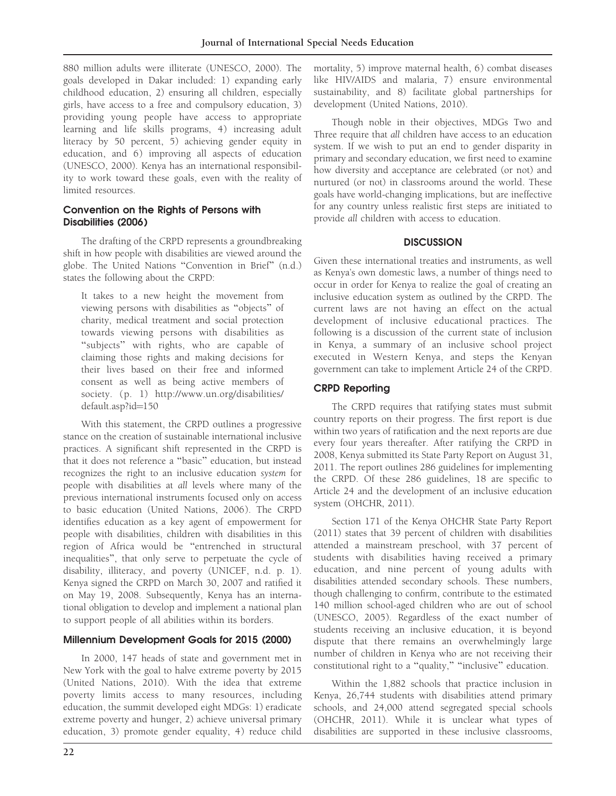880 million adults were illiterate (UNESCO, 2000). The goals developed in Dakar included: 1) expanding early childhood education, 2) ensuring all children, especially girls, have access to a free and compulsory education, 3) providing young people have access to appropriate learning and life skills programs, 4) increasing adult literacy by 50 percent, 5) achieving gender equity in education, and 6) improving all aspects of education (UNESCO, 2000). Kenya has an international responsibility to work toward these goals, even with the reality of limited resources.

## Convention on the Rights of Persons with Disabilities (2006)

The drafting of the CRPD represents a groundbreaking shift in how people with disabilities are viewed around the globe. The United Nations ''Convention in Brief'' (n.d.) states the following about the CRPD:

It takes to a new height the movement from viewing persons with disabilities as ''objects'' of charity, medical treatment and social protection towards viewing persons with disabilities as "subjects" with rights, who are capable of claiming those rights and making decisions for their lives based on their free and informed consent as well as being active members of society. (p. 1) http://www.un.org/disabilities/ default.asp?id=150

With this statement, the CRPD outlines a progressive stance on the creation of sustainable international inclusive practices. A significant shift represented in the CRPD is that it does not reference a ''basic'' education, but instead recognizes the right to an inclusive education system for people with disabilities at all levels where many of the previous international instruments focused only on access to basic education (United Nations, 2006). The CRPD identifies education as a key agent of empowerment for people with disabilities, children with disabilities in this region of Africa would be ''entrenched in structural inequalities'', that only serve to perpetuate the cycle of disability, illiteracy, and poverty (UNICEF, n.d. p. 1). Kenya signed the CRPD on March 30, 2007 and ratified it on May 19, 2008. Subsequently, Kenya has an international obligation to develop and implement a national plan to support people of all abilities within its borders.

# Millennium Development Goals for 2015 (2000)

In 2000, 147 heads of state and government met in New York with the goal to halve extreme poverty by 2015 (United Nations, 2010). With the idea that extreme poverty limits access to many resources, including education, the summit developed eight MDGs: 1) eradicate extreme poverty and hunger, 2) achieve universal primary education, 3) promote gender equality, 4) reduce child

mortality, 5) improve maternal health, 6) combat diseases like HIV/AIDS and malaria, 7) ensure environmental sustainability, and 8) facilitate global partnerships for development (United Nations, 2010).

Though noble in their objectives, MDGs Two and Three require that all children have access to an education system. If we wish to put an end to gender disparity in primary and secondary education, we first need to examine how diversity and acceptance are celebrated (or not) and nurtured (or not) in classrooms around the world. These goals have world-changing implications, but are ineffective for any country unless realistic first steps are initiated to provide all children with access to education.

# **DISCUSSION**

Given these international treaties and instruments, as well as Kenya's own domestic laws, a number of things need to occur in order for Kenya to realize the goal of creating an inclusive education system as outlined by the CRPD. The current laws are not having an effect on the actual development of inclusive educational practices. The following is a discussion of the current state of inclusion in Kenya, a summary of an inclusive school project executed in Western Kenya, and steps the Kenyan government can take to implement Article 24 of the CRPD.

# CRPD Reporting

The CRPD requires that ratifying states must submit country reports on their progress. The first report is due within two years of ratification and the next reports are due every four years thereafter. After ratifying the CRPD in 2008, Kenya submitted its State Party Report on August 31, 2011. The report outlines 286 guidelines for implementing the CRPD. Of these 286 guidelines, 18 are specific to Article 24 and the development of an inclusive education system (OHCHR, 2011).

Section 171 of the Kenya OHCHR State Party Report (2011) states that 39 percent of children with disabilities attended a mainstream preschool, with 37 percent of students with disabilities having received a primary education, and nine percent of young adults with disabilities attended secondary schools. These numbers, though challenging to confirm, contribute to the estimated 140 million school-aged children who are out of school (UNESCO, 2005). Regardless of the exact number of students receiving an inclusive education, it is beyond dispute that there remains an overwhelmingly large number of children in Kenya who are not receiving their constitutional right to a ''quality,'' ''inclusive'' education.

Within the 1,882 schools that practice inclusion in Kenya, 26,744 students with disabilities attend primary schools, and 24,000 attend segregated special schools (OHCHR, 2011). While it is unclear what types of disabilities are supported in these inclusive classrooms,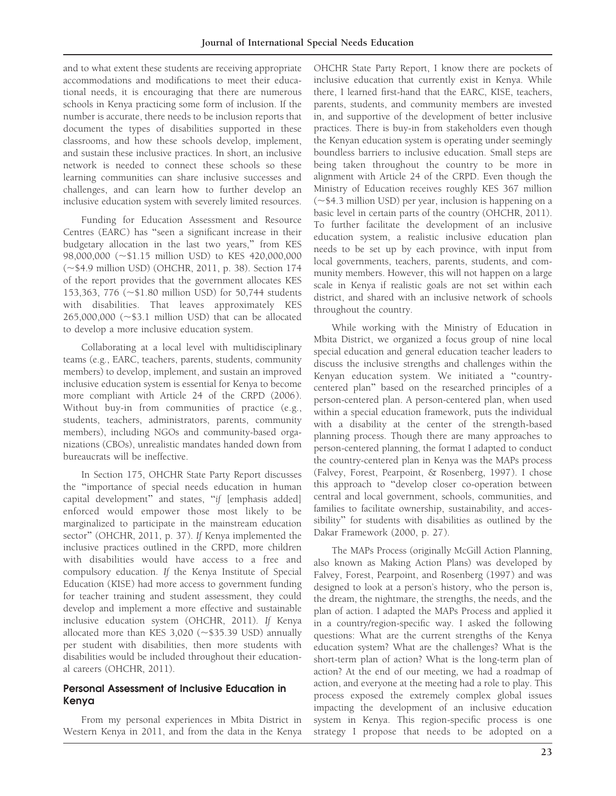and to what extent these students are receiving appropriate accommodations and modifications to meet their educational needs, it is encouraging that there are numerous schools in Kenya practicing some form of inclusion. If the number is accurate, there needs to be inclusion reports that document the types of disabilities supported in these classrooms, and how these schools develop, implement, and sustain these inclusive practices. In short, an inclusive network is needed to connect these schools so these learning communities can share inclusive successes and challenges, and can learn how to further develop an inclusive education system with severely limited resources.

Funding for Education Assessment and Resource Centres (EARC) has ''seen a significant increase in their budgetary allocation in the last two years,'' from KES 98,000,000 (~\$1.15 million USD) to KES 420,000,000 (~\$4.9 million USD) (OHCHR, 2011, p. 38). Section 174 of the report provides that the government allocates KES 153,363, 776 (~\$1.80 million USD) for 50,744 students with disabilities. That leaves approximately KES  $265,000,000$  ( $\sim$ \$3.1 million USD) that can be allocated to develop a more inclusive education system.

Collaborating at a local level with multidisciplinary teams (e.g., EARC, teachers, parents, students, community members) to develop, implement, and sustain an improved inclusive education system is essential for Kenya to become more compliant with Article 24 of the CRPD (2006). Without buy-in from communities of practice (e.g., students, teachers, administrators, parents, community members), including NGOs and community-based organizations (CBOs), unrealistic mandates handed down from bureaucrats will be ineffective.

In Section 175, OHCHR State Party Report discusses the ''importance of special needs education in human capital development'' and states, ''if [emphasis added] enforced would empower those most likely to be marginalized to participate in the mainstream education sector'' (OHCHR, 2011, p. 37). If Kenya implemented the inclusive practices outlined in the CRPD, more children with disabilities would have access to a free and compulsory education. If the Kenya Institute of Special Education (KISE) had more access to government funding for teacher training and student assessment, they could develop and implement a more effective and sustainable inclusive education system (OHCHR, 2011). If Kenya allocated more than KES 3,020 ( $\sim$ \$35.39 USD) annually per student with disabilities, then more students with disabilities would be included throughout their educational careers (OHCHR, 2011).

## Personal Assessment of Inclusive Education in Kenya

From my personal experiences in Mbita District in Western Kenya in 2011, and from the data in the Kenya OHCHR State Party Report, I know there are pockets of inclusive education that currently exist in Kenya. While there, I learned first-hand that the EARC, KISE, teachers, parents, students, and community members are invested in, and supportive of the development of better inclusive practices. There is buy-in from stakeholders even though the Kenyan education system is operating under seemingly boundless barriers to inclusive education. Small steps are being taken throughout the country to be more in alignment with Article 24 of the CRPD. Even though the Ministry of Education receives roughly KES 367 million  $(\sim$ \$4.3 million USD) per year, inclusion is happening on a basic level in certain parts of the country (OHCHR, 2011). To further facilitate the development of an inclusive education system, a realistic inclusive education plan needs to be set up by each province, with input from local governments, teachers, parents, students, and community members. However, this will not happen on a large scale in Kenya if realistic goals are not set within each district, and shared with an inclusive network of schools throughout the country.

While working with the Ministry of Education in Mbita District, we organized a focus group of nine local special education and general education teacher leaders to discuss the inclusive strengths and challenges within the Kenyan education system. We initiated a ''countrycentered plan'' based on the researched principles of a person-centered plan. A person-centered plan, when used within a special education framework, puts the individual with a disability at the center of the strength-based planning process. Though there are many approaches to person-centered planning, the format I adapted to conduct the country-centered plan in Kenya was the MAPs process (Falvey, Forest, Pearpoint, & Rosenberg, 1997). I chose this approach to ''develop closer co-operation between central and local government, schools, communities, and families to facilitate ownership, sustainability, and accessibility'' for students with disabilities as outlined by the Dakar Framework (2000, p. 27).

The MAPs Process (originally McGill Action Planning, also known as Making Action Plans) was developed by Falvey, Forest, Pearpoint, and Rosenberg (1997) and was designed to look at a person's history, who the person is, the dream, the nightmare, the strengths, the needs, and the plan of action. I adapted the MAPs Process and applied it in a country/region-specific way. I asked the following questions: What are the current strengths of the Kenya education system? What are the challenges? What is the short-term plan of action? What is the long-term plan of action? At the end of our meeting, we had a roadmap of action, and everyone at the meeting had a role to play. This process exposed the extremely complex global issues impacting the development of an inclusive education system in Kenya. This region-specific process is one strategy I propose that needs to be adopted on a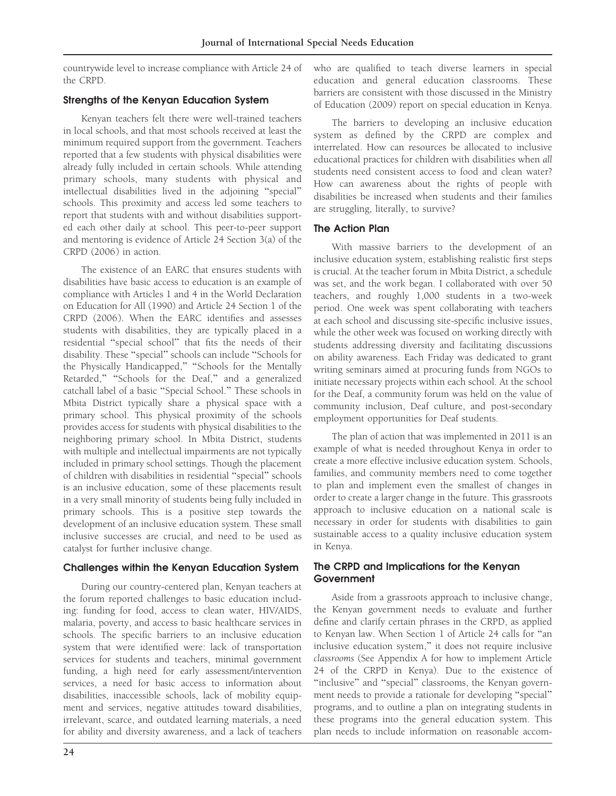countrywide level to increase compliance with Article 24 of the CRPD.

## Strengths of the Kenyan Education System

Kenyan teachers felt there were well-trained teachers in local schools, and that most schools received at least the minimum required support from the government. Teachers reported that a few students with physical disabilities were already fully included in certain schools. While attending primary schools, many students with physical and intellectual disabilities lived in the adjoining ''special'' schools. This proximity and access led some teachers to report that students with and without disabilities supported each other daily at school. This peer-to-peer support and mentoring is evidence of Article 24 Section 3(a) of the CRPD (2006) in action.

The existence of an EARC that ensures students with disabilities have basic access to education is an example of compliance with Articles 1 and 4 in the World Declaration on Education for All (1990) and Article 24 Section 1 of the CRPD (2006). When the EARC identifies and assesses students with disabilities, they are typically placed in a residential ''special school'' that fits the needs of their disability. These ''special'' schools can include ''Schools for the Physically Handicapped," "Schools for the Mentally Retarded," "Schools for the Deaf," and a generalized catchall label of a basic ''Special School.'' These schools in Mbita District typically share a physical space with a primary school. This physical proximity of the schools provides access for students with physical disabilities to the neighboring primary school. In Mbita District, students with multiple and intellectual impairments are not typically included in primary school settings. Though the placement of children with disabilities in residential ''special'' schools is an inclusive education, some of these placements result in a very small minority of students being fully included in primary schools. This is a positive step towards the development of an inclusive education system. These small inclusive successes are crucial, and need to be used as catalyst for further inclusive change.

# Challenges within the Kenyan Education System

During our country-centered plan, Kenyan teachers at the forum reported challenges to basic education including: funding for food, access to clean water, HIV/AIDS, malaria, poverty, and access to basic healthcare services in schools. The specific barriers to an inclusive education system that were identified were: lack of transportation services for students and teachers, minimal government funding, a high need for early assessment/intervention services, a need for basic access to information about disabilities, inaccessible schools, lack of mobility equipment and services, negative attitudes toward disabilities, irrelevant, scarce, and outdated learning materials, a need for ability and diversity awareness, and a lack of teachers

who are qualified to teach diverse learners in special education and general education classrooms. These barriers are consistent with those discussed in the Ministry of Education (2009) report on special education in Kenya.

The barriers to developing an inclusive education system as defined by the CRPD are complex and interrelated. How can resources be allocated to inclusive educational practices for children with disabilities when all students need consistent access to food and clean water? How can awareness about the rights of people with disabilities be increased when students and their families are struggling, literally, to survive?

# The Action Plan

With massive barriers to the development of an inclusive education system, establishing realistic first steps is crucial. At the teacher forum in Mbita District, a schedule was set, and the work began. I collaborated with over 50 teachers, and roughly 1,000 students in a two-week period. One week was spent collaborating with teachers at each school and discussing site-specific inclusive issues, while the other week was focused on working directly with students addressing diversity and facilitating discussions on ability awareness. Each Friday was dedicated to grant writing seminars aimed at procuring funds from NGOs to initiate necessary projects within each school. At the school for the Deaf, a community forum was held on the value of community inclusion, Deaf culture, and post-secondary employment opportunities for Deaf students.

The plan of action that was implemented in 2011 is an example of what is needed throughout Kenya in order to create a more effective inclusive education system. Schools, families, and community members need to come together to plan and implement even the smallest of changes in order to create a larger change in the future. This grassroots approach to inclusive education on a national scale is necessary in order for students with disabilities to gain sustainable access to a quality inclusive education system in Kenya.

# The CRPD and Implications for the Kenyan **Government**

Aside from a grassroots approach to inclusive change, the Kenyan government needs to evaluate and further define and clarify certain phrases in the CRPD, as applied to Kenyan law. When Section 1 of Article 24 calls for ''an inclusive education system,'' it does not require inclusive classrooms (See Appendix A for how to implement Article 24 of the CRPD in Kenya). Due to the existence of "inclusive" and "special" classrooms, the Kenyan government needs to provide a rationale for developing ''special'' programs, and to outline a plan on integrating students in these programs into the general education system. This plan needs to include information on reasonable accom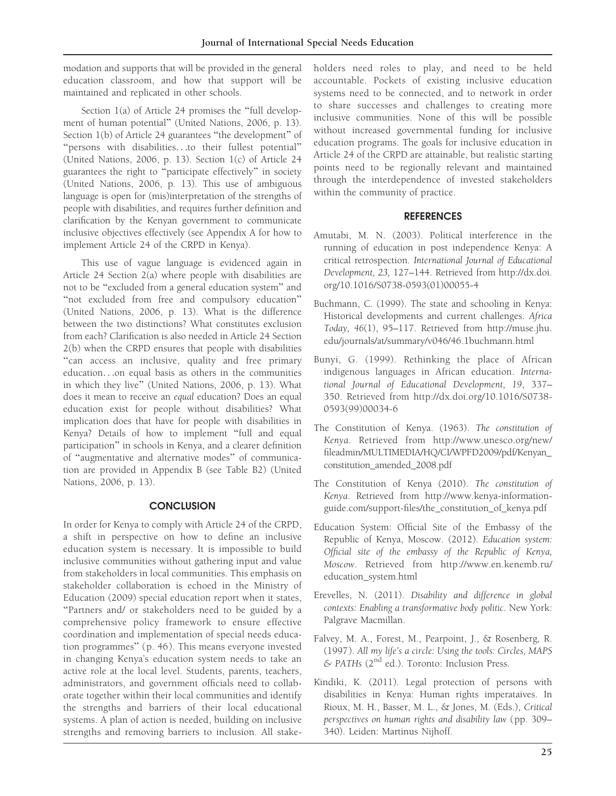modation and supports that will be provided in the general education classroom, and how that support will be maintained and replicated in other schools.

Section 1(a) of Article 24 promises the "full development of human potential'' (United Nations, 2006, p. 13). Section 1(b) of Article 24 guarantees ''the development'' of ''persons with disabilities...to their fullest potential'' (United Nations, 2006, p. 13). Section 1(c) of Article 24 guarantees the right to ''participate effectively'' in society (United Nations, 2006, p. 13). This use of ambiguous language is open for (mis)interpretation of the strengths of people with disabilities, and requires further definition and clarification by the Kenyan government to communicate inclusive objectives effectively (see Appendix A for how to implement Article 24 of the CRPD in Kenya).

This use of vague language is evidenced again in Article 24 Section 2(a) where people with disabilities are not to be ''excluded from a general education system'' and "not excluded from free and compulsory education" (United Nations, 2006, p. 13). What is the difference between the two distinctions? What constitutes exclusion from each? Clarification is also needed in Article 24 Section 2(b) when the CRPD ensures that people with disabilities ''can access an inclusive, quality and free primary education...on equal basis as others in the communities in which they live'' (United Nations, 2006, p. 13). What does it mean to receive an equal education? Does an equal education exist for people without disabilities? What implication does that have for people with disabilities in Kenya? Details of how to implement ''full and equal participation'' in schools in Kenya, and a clearer definition of ''augmentative and alternative modes'' of communication are provided in Appendix B (see Table B2) (United Nations, 2006, p. 13).

#### **CONCLUSION**

In order for Kenya to comply with Article 24 of the CRPD, a shift in perspective on how to define an inclusive education system is necessary. It is impossible to build inclusive communities without gathering input and value from stakeholders in local communities. This emphasis on stakeholder collaboration is echoed in the Ministry of Education (2009) special education report when it states, ''Partners and/ or stakeholders need to be guided by a comprehensive policy framework to ensure effective coordination and implementation of special needs education programmes'' (p. 46). This means everyone invested in changing Kenya's education system needs to take an active role at the local level. Students, parents, teachers, administrators, and government officials need to collaborate together within their local communities and identify the strengths and barriers of their local educational systems. A plan of action is needed, building on inclusive strengths and removing barriers to inclusion. All stakeholders need roles to play, and need to be held accountable. Pockets of existing inclusive education systems need to be connected, and to network in order to share successes and challenges to creating more inclusive communities. None of this will be possible without increased governmental funding for inclusive education programs. The goals for inclusive education in Article 24 of the CRPD are attainable, but realistic starting points need to be regionally relevant and maintained through the interdependence of invested stakeholders within the community of practice.

#### REFERENCES

- Amutabi, M. N. (2003). Political interference in the running of education in post independence Kenya: A critical retrospection. International Journal of Educational Development, 23, 127–144. Retrieved from http://dx.doi. org/10.1016/S0738-0593(01)00055-4
- Buchmann, C. (1999). The state and schooling in Kenya: Historical developments and current challenges. Africa Today, 46(1), 95–117. Retrieved from http://muse.jhu. edu/journals/at/summary/v046/46.1buchmann.html
- Bunyi, G. (1999). Rethinking the place of African indigenous languages in African education. International Journal of Educational Development, 19, 337– 350. Retrieved from http://dx.doi.org/10.1016/S0738- 0593(99)00034-6
- The Constitution of Kenya. (1963). The constitution of Kenya. Retrieved from http://www.unesco.org/new/ fileadmin/MULTIMEDIA/HQ/CI/WPFD2009/pdf/Kenyan\_ constitution\_amended\_2008.pdf
- The Constitution of Kenya (2010). The constitution of Kenya. Retrieved from http://www.kenya-informationguide.com/support-files/the\_constitution\_of\_kenya.pdf
- Education System: Official Site of the Embassy of the Republic of Kenya, Moscow. (2012). Education system: Official site of the embassy of the Republic of Kenya, Moscow. Retrieved from http://www.en.kenemb.ru/ education\_system.html
- Erevelles, N. (2011). Disability and difference in global contexts: Enabling a transformative body politic. New York: Palgrave Macmillan.
- Falvey, M. A., Forest, M., Pearpoint, J., & Rosenberg, R. (1997). All my life's a circle: Using the tools: Circles, MAPS & PATHs (2nd ed.). Toronto: Inclusion Press.
- Kindiki, K. (2011). Legal protection of persons with disabilities in Kenya: Human rights imperataives. In Rioux, M. H., Basser, M. L., & Jones, M. (Eds.), Critical perspectives on human rights and disability law (pp. 309– 340). Leiden: Martinus Nijhoff.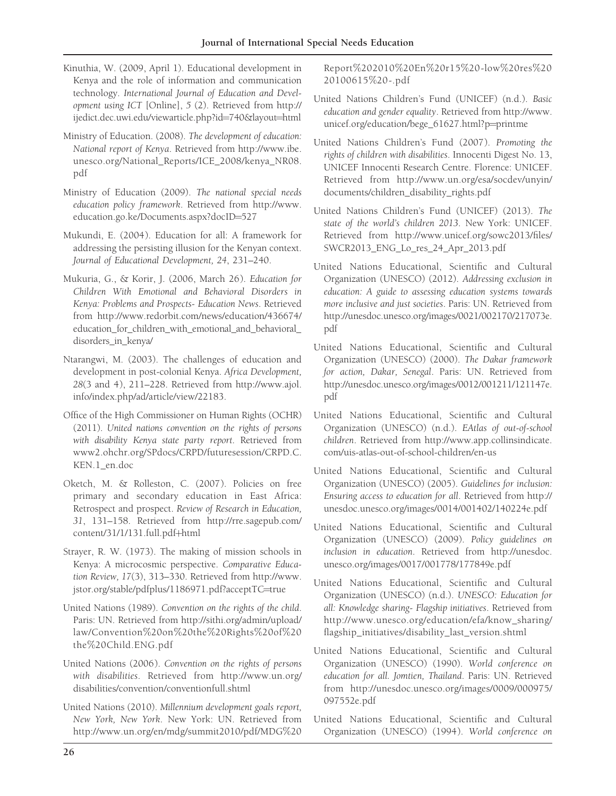- Kinuthia, W. (2009, April 1). Educational development in Kenya and the role of information and communication technology. International Journal of Education and Development using ICT [Online], 5 (2). Retrieved from http:// ijedict.dec.uwi.edu/viewarticle.php?id=740&layout=html
- Ministry of Education. (2008). The development of education: National report of Kenya. Retrieved from http://www.ibe. unesco.org/National\_Reports/ICE\_2008/kenya\_NR08. pdf
- Ministry of Education (2009). The national special needs education policy framework. Retrieved from http://www. education.go.ke/Documents.aspx?docID=527
- Mukundi, E. (2004). Education for all: A framework for addressing the persisting illusion for the Kenyan context. Journal of Educational Development, 24, 231–240.
- Mukuria, G., & Korir, J. (2006, March 26). Education for Children With Emotional and Behavioral Disorders in Kenya: Problems and Prospects- Education News. Retrieved from http://www.redorbit.com/news/education/436674/ education\_for\_children\_with\_emotional\_and\_behavioral\_ disorders\_in\_kenya/
- Ntarangwi, M. (2003). The challenges of education and development in post-colonial Kenya. Africa Development, 28(3 and 4), 211–228. Retrieved from http://www.ajol. info/index.php/ad/article/view/22183.
- Office of the High Commissioner on Human Rights (OCHR) (2011). United nations convention on the rights of persons with disability Kenya state party report. Retrieved from www2.ohchr.org/SPdocs/CRPD/futuresession/CRPD.C. KEN.1\_en.doc
- Oketch, M. & Rolleston, C. (2007). Policies on free primary and secondary education in East Africa: Retrospect and prospect. Review of Research in Education, 31, 131–158. Retrieved from http://rre.sagepub.com/ content/31/1/131.full.pdf+html
- Strayer, R. W. (1973). The making of mission schools in Kenya: A microcosmic perspective. Comparative Education Review, 17(3), 313–330. Retrieved from http://www. jstor.org/stable/pdfplus/1186971.pdf?acceptTC=true
- United Nations (1989). Convention on the rights of the child. Paris: UN. Retrieved from http://sithi.org/admin/upload/ law/Convention%20on%20the%20Rights%20of%20 the%20Child.ENG.pdf
- United Nations (2006). Convention on the rights of persons with disabilities. Retrieved from http://www.un.org/ disabilities/convention/conventionfull.shtml
- United Nations (2010). Millennium development goals report, New York, New York. New York: UN. Retrieved from http://www.un.org/en/mdg/summit2010/pdf/MDG%20

Report%202010%20En%20r15%20-low%20res%20 20100615%20-.pdf

- United Nations Children's Fund (UNICEF) (n.d.). Basic education and gender equality. Retrieved from http://www. unicef.org/education/bege\_61627.html?p=printme
- United Nations Children's Fund (2007). Promoting the rights of children with disabilities. Innocenti Digest No. 13, UNICEF Innocenti Research Centre. Florence: UNICEF. Retrieved from http://www.un.org/esa/socdev/unyin/ documents/children\_disability\_rights.pdf
- United Nations Children's Fund (UNICEF) (2013). The state of the world's children 2013. New York: UNICEF. Retrieved from http://www.unicef.org/sowc2013/files/ SWCR2013\_ENG\_Lo\_res\_24\_Apr\_2013.pdf
- United Nations Educational, Scientific and Cultural Organization (UNESCO) (2012). Addressing exclusion in education: A guide to assessing education systems towards more inclusive and just societies. Paris: UN. Retrieved from http://unesdoc.unesco.org/images/0021/002170/217073e. pdf
- United Nations Educational, Scientific and Cultural Organization (UNESCO) (2000). The Dakar framework for action, Dakar, Senegal. Paris: UN. Retrieved from http://unesdoc.unesco.org/images/0012/001211/121147e. pdf
- United Nations Educational, Scientific and Cultural Organization (UNESCO) (n.d.). EAtlas of out-of-school children. Retrieved from http://www.app.collinsindicate. com/uis-atlas-out-of-school-children/en-us
- United Nations Educational, Scientific and Cultural Organization (UNESCO) (2005). Guidelines for inclusion: Ensuring access to education for all. Retrieved from http:// unesdoc.unesco.org/images/0014/001402/140224e.pdf
- United Nations Educational, Scientific and Cultural Organization (UNESCO) (2009). Policy guidelines on inclusion in education. Retrieved from http://unesdoc. unesco.org/images/0017/001778/177849e.pdf
- United Nations Educational, Scientific and Cultural Organization (UNESCO) (n.d.). UNESCO: Education for all: Knowledge sharing- Flagship initiatives. Retrieved from http://www.unesco.org/education/efa/know\_sharing/ flagship\_initiatives/disability\_last\_version.shtml
- United Nations Educational, Scientific and Cultural Organization (UNESCO) (1990). World conference on education for all. Jomtien, Thailand. Paris: UN. Retrieved from http://unesdoc.unesco.org/images/0009/000975/ 097552e.pdf
- United Nations Educational, Scientific and Cultural Organization (UNESCO) (1994). World conference on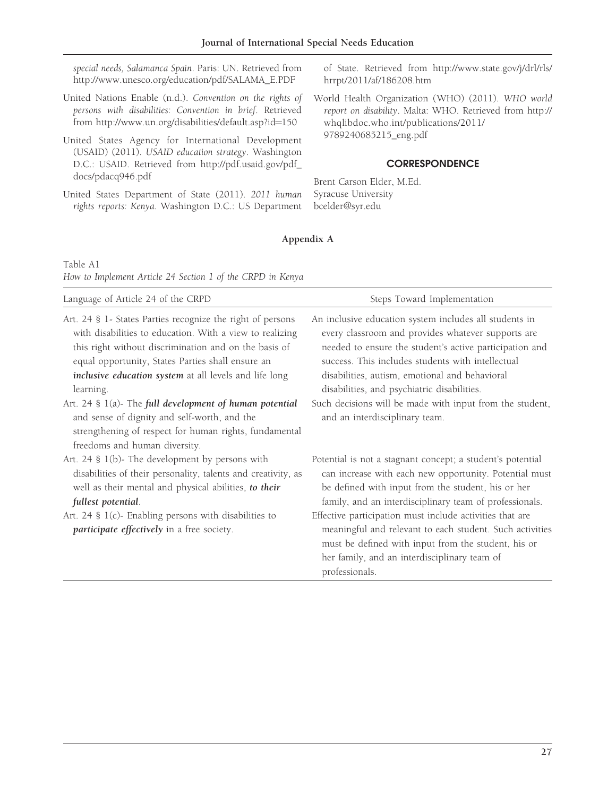special needs, Salamanca Spain. Paris: UN. Retrieved from http://www.unesco.org/education/pdf/SALAMA\_E.PDF

- United Nations Enable (n.d.). Convention on the rights of persons with disabilities: Convention in brief. Retrieved from http://www.un.org/disabilities/default.asp?id=150
- United States Agency for International Development (USAID) (2011). USAID education strategy. Washington D.C.: USAID. Retrieved from http://pdf.usaid.gov/pdf\_ docs/pdacq946.pdf
- United States Department of State (2011). 2011 human rights reports: Kenya. Washington D.C.: US Department

of State. Retrieved from http://www.state.gov/j/drl/rls/ hrrpt/2011/af/186208.htm

World Health Organization (WHO) (2011). WHO world report on disability. Malta: WHO. Retrieved from http:// whqlibdoc.who.int/publications/2011/ 9789240685215\_eng.pdf

#### **CORRESPONDENCE**

Brent Carson Elder, M.Ed. Syracuse University bcelder@syr.edu

## Appendix A

Table A1 How to Implement Article 24 Section 1 of the CRPD in Kenya

| Language of Article 24 of the CRPD                                                                                                                                                                                                                                                                                                                                        | Steps Toward Implementation                                                                                                                                                                                                                                                                                                                                                               |
|---------------------------------------------------------------------------------------------------------------------------------------------------------------------------------------------------------------------------------------------------------------------------------------------------------------------------------------------------------------------------|-------------------------------------------------------------------------------------------------------------------------------------------------------------------------------------------------------------------------------------------------------------------------------------------------------------------------------------------------------------------------------------------|
| Art. 24 § 1- States Parties recognize the right of persons<br>with disabilities to education. With a view to realizing<br>this right without discrimination and on the basis of<br>equal opportunity, States Parties shall ensure an<br>inclusive education system at all levels and life long<br>learning.<br>Art. 24 $\S$ 1(a)- The full development of human potential | An inclusive education system includes all students in<br>every classroom and provides whatever supports are<br>needed to ensure the student's active participation and<br>success. This includes students with intellectual<br>disabilities, autism, emotional and behavioral<br>disabilities, and psychiatric disabilities.<br>Such decisions will be made with input from the student, |
| and sense of dignity and self-worth, and the<br>strengthening of respect for human rights, fundamental<br>freedoms and human diversity.<br>Art. 24 § 1(b)- The development by persons with<br>disabilities of their personality, talents and creativity, as<br>well as their mental and physical abilities, to their                                                      | and an interdisciplinary team.<br>Potential is not a stagnant concept; a student's potential<br>can increase with each new opportunity. Potential must<br>be defined with input from the student, his or her                                                                                                                                                                              |
| fullest potential.<br>Art. 24 § 1(c)- Enabling persons with disabilities to<br>participate effectively in a free society.                                                                                                                                                                                                                                                 | family, and an interdisciplinary team of professionals.<br>Effective participation must include activities that are<br>meaningful and relevant to each student. Such activities<br>must be defined with input from the student, his or<br>her family, and an interdisciplinary team of<br>professionals.                                                                                  |